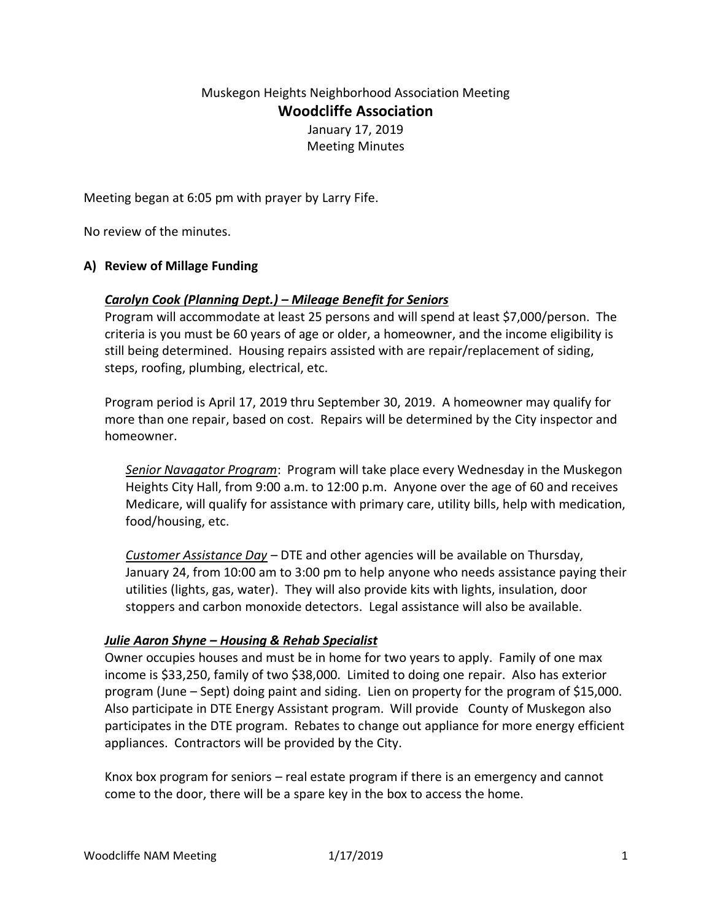# Muskegon Heights Neighborhood Association Meeting **Woodcliffe Association**

January 17, 2019 Meeting Minutes

Meeting began at 6:05 pm with prayer by Larry Fife.

No review of the minutes.

## **A) Review of Millage Funding**

## *Carolyn Cook (Planning Dept.) – Mileage Benefit for Seniors*

Program will accommodate at least 25 persons and will spend at least \$7,000/person. The criteria is you must be 60 years of age or older, a homeowner, and the income eligibility is still being determined. Housing repairs assisted with are repair/replacement of siding, steps, roofing, plumbing, electrical, etc.

Program period is April 17, 2019 thru September 30, 2019. A homeowner may qualify for more than one repair, based on cost. Repairs will be determined by the City inspector and homeowner.

*Senior Navagator Program*: Program will take place every Wednesday in the Muskegon Heights City Hall, from 9:00 a.m. to 12:00 p.m. Anyone over the age of 60 and receives Medicare, will qualify for assistance with primary care, utility bills, help with medication, food/housing, etc.

*Customer Assistance Day* – DTE and other agencies will be available on Thursday, January 24, from 10:00 am to 3:00 pm to help anyone who needs assistance paying their utilities (lights, gas, water). They will also provide kits with lights, insulation, door stoppers and carbon monoxide detectors. Legal assistance will also be available.

#### *Julie Aaron Shyne – Housing & Rehab Specialist*

Owner occupies houses and must be in home for two years to apply. Family of one max income is \$33,250, family of two \$38,000. Limited to doing one repair. Also has exterior program (June – Sept) doing paint and siding. Lien on property for the program of \$15,000. Also participate in DTE Energy Assistant program. Will provide County of Muskegon also participates in the DTE program. Rebates to change out appliance for more energy efficient appliances. Contractors will be provided by the City.

Knox box program for seniors – real estate program if there is an emergency and cannot come to the door, there will be a spare key in the box to access the home.